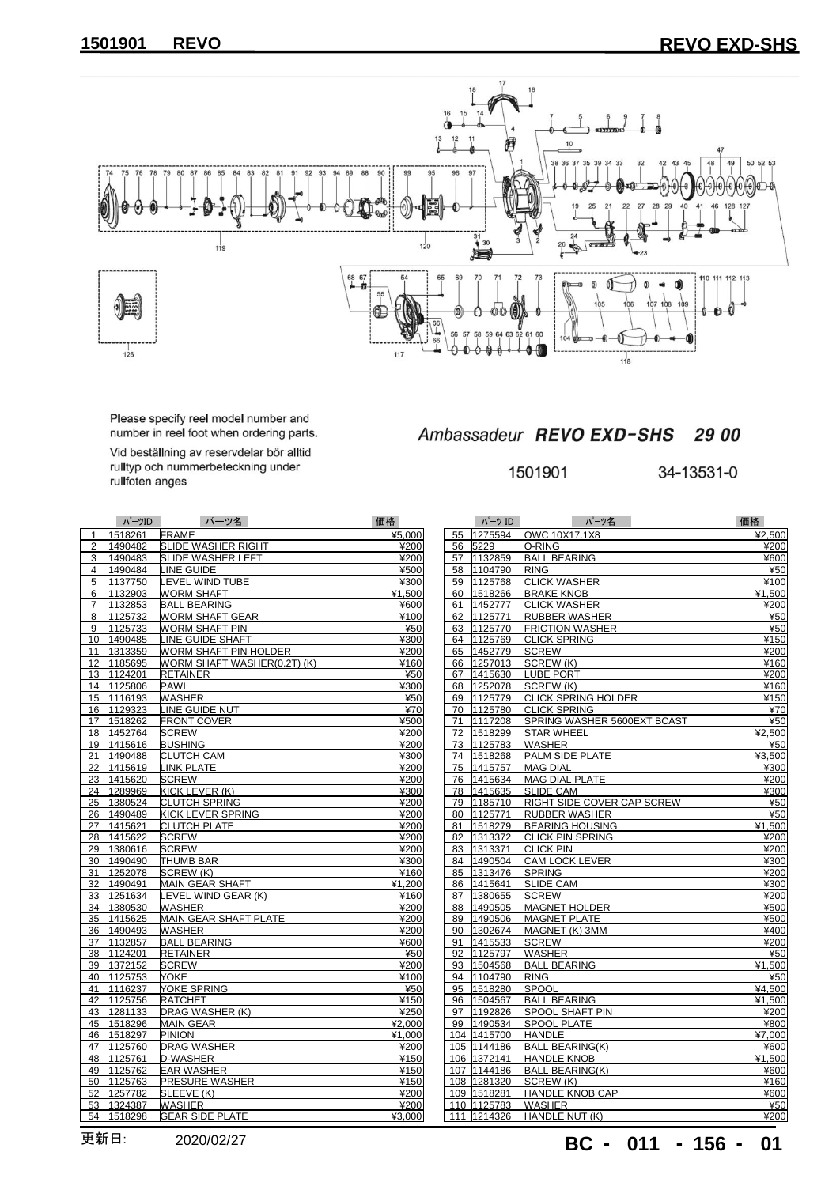## **REVO REVO EXD-SHS**



Please specify reel model number and<br>number in reel foot when ordering parts.

Vid beställning av reservdelar bör alltid<br>rulltyp och nummerbeteckning under<br>rullfoten anges

## Ambassadeur REVO EXD-SHS 29 00

34-13531-0

|                | ハーツID      | パーツ名                        | 価格     |    | パーツ ID      | パーツ名                              | 価格             |
|----------------|------------|-----------------------------|--------|----|-------------|-----------------------------------|----------------|
| $\mathbf{1}$   | 1518261    | <b>FRAME</b>                | ¥5,000 |    | 55 1275594  | OWC 10X17.1X8                     | ्र             |
| $\overline{2}$ | 1490482    | SLIDE WASHER RIGHT          | ¥200   |    | 56 5229     | O-RING                            |                |
| 3              | 1490483    | <b>SLIDE WASHER LEFT</b>    | ¥200   |    | 57 1132859  | <b>BALL BEARING</b>               |                |
|                | 4 1490484  | LINE GUIDE                  | ¥500   |    | 58 1104790  | <b>RING</b>                       |                |
| 5              | 1137750    | LEVEL WIND TUBE             | ¥300   | 59 | 1125768     | <b>CLICK WASHER</b>               |                |
|                | 6 1132903  | <b>WORM SHAFT</b>           | ¥1,500 |    | 60 1518266  | <b>BRAKE KNOB</b>                 | $\overline{1}$ |
| $\overline{7}$ | 1132853    | <b>BALL BEARING</b>         | ¥600   | 61 | 1452777     | <b>CLICK WASHER</b>               |                |
| 8              | 1125732    | <b>WORM SHAFT GEAR</b>      | ¥100   | 62 | 1125771     | <b>RUBBER WASHER</b>              |                |
| 9              | 1125733    | <b>WORM SHAFT PIN</b>       | ¥50    |    | 63 1125770  | <b>FRICTION WASHER</b>            |                |
|                | 10 1490485 | LINE GUIDE SHAFT            | ¥300   |    | 64 1125769  | <b>CLICK SPRING</b>               |                |
|                | 11 1313359 | WORM SHAFT PIN HOLDER       | ¥200   |    | 65 1452779  | <b>SCREW</b>                      |                |
|                | 12 1185695 | WORM SHAFT WASHER(0.2T) (K) | ¥160   |    | 66 1257013  | SCREW (K)                         |                |
|                | 13 1124201 | <b>RETAINER</b>             | ¥50    |    | 67 1415630  | <b>LUBE PORT</b>                  |                |
|                | 14 1125806 | <b>PAWL</b>                 | ¥300   |    | 68 1252078  | SCREW (K)                         |                |
|                | 15 1116193 | <b>WASHER</b>               | ¥50    |    | 69 1125779  | <b>CLICK SPRING HOLDER</b>        |                |
|                | 16 1129323 | LINE GUIDE NUT              | ¥70    |    | 70 1125780  | <b>CLICK SPRING</b>               |                |
|                | 17 1518262 | <b>FRONT COVER</b>          | ¥500   | 71 | 1117208     | SPRING WASHER 5600EXT BCAST       |                |
|                | 18 1452764 | <b>SCREW</b>                | ¥200   |    | 72 1518299  | <b>STAR WHEEL</b>                 | $\mathbf{A}$   |
|                | 19 1415616 | <b>BUSHING</b>              | ¥200   |    | 73 1125783  | <b>WASHER</b>                     |                |
|                | 21 1490488 | <b>CLUTCH CAM</b>           | ¥300   |    | 74 1518268  | PALM SIDE PLATE                   | $\overline{a}$ |
|                | 22 1415619 | <b>LINK PLATE</b>           | ¥200   |    | 75 1415757  | <b>MAG DIAL</b>                   |                |
|                | 23 1415620 | <b>SCREW</b>                | ¥200   |    | 76 1415634  | <b>MAG DIAL PLATE</b>             |                |
|                | 24 1289969 | KICK LEVER (K)              | ¥300   |    | 78 1415635  | <b>SLIDE CAM</b>                  |                |
|                | 25 1380524 | <b>CLUTCH SPRING</b>        | ¥200   |    | 79 1185710  | <b>RIGHT SIDE COVER CAP SCREW</b> |                |
|                | 26 1490489 | KICK LEVER SPRING           | ¥200   |    | 80 1125771  | RUBBER WASHER                     |                |
|                | 27 1415621 | <b>CLUTCH PLATE</b>         | ¥200   |    | 81 1518279  | <b>BEARING HOUSING</b>            | $\mathbf{A}$   |
|                | 28 1415622 | <b>SCREW</b>                | ¥200   | 82 | 1313372     | <b>CLICK PIN SPRING</b>           |                |
|                | 29 1380616 | <b>SCREW</b>                | ¥200   |    | 83 1313371  | <b>CLICK PIN</b>                  |                |
|                | 30 1490490 | <b>THUMB BAR</b>            | ¥300   |    | 84 1490504  | <b>CAM LOCK LEVER</b>             |                |
|                | 31 1252078 | SCREW (K)                   | ¥160   | 85 | 1313476     | <b>SPRING</b>                     |                |
|                | 32 1490491 | <b>MAIN GEAR SHAFT</b>      | ¥1,200 |    | 86 1415641  | <b>SLIDE CAM</b>                  |                |
|                | 33 1251634 | LEVEL WIND GEAR (K)         | ¥160   | 87 | 1380655     | <b>SCREW</b>                      |                |
|                | 34 1380530 | <b>WASHER</b>               | ¥200   | 88 | 1490505     | <b>MAGNET HOLDER</b>              |                |
|                | 35 1415625 | MAIN GEAR SHAFT PLATE       | ¥200   | 89 | 1490506     | <b>MAGNET PLATE</b>               |                |
|                | 36 1490493 | <b>WASHER</b>               | ¥200   | 90 | 1302674     | MAGNET (K) 3MM                    |                |
|                | 37 1132857 | <b>BALL BEARING</b>         | ¥600   | 91 | 1415533     | <b>SCREW</b>                      |                |
|                | 38 1124201 | <b>RETAINER</b>             | ¥50    | 92 | 1125797     | <b>WASHER</b>                     |                |
|                | 39 1372152 | <b>SCREW</b>                | ¥200   | 93 | 1504568     | <b>BALL BEARING</b>               | $\overline{a}$ |
|                | 40 1125753 | <b>YOKE</b>                 | ¥100   | 94 | 1104790     | <b>RING</b>                       |                |
|                | 41 1116237 | <b>YOKE SPRING</b>          | ¥50    | 95 | 1518280     | <b>SPOOL</b>                      | $\rightarrow$  |
|                | 42 1125756 | <b>RATCHET</b>              | ¥150   | 96 | 1504567     | <b>BALL BEARING</b>               | $\overline{1}$ |
|                | 43 1281133 | DRAG WASHER (K)             | ¥250   |    | 97 1192826  | <b>SPOOL SHAFT PIN</b>            |                |
|                | 45 1518296 | <b>MAIN GEAR</b>            | ¥2,000 |    | 99 1490534  | <b>SPOOL PLATE</b>                |                |
|                | 46 1518297 | <b>PINION</b>               | ¥1,000 |    | 104 1415700 | <b>HANDLE</b>                     | $\overline{1}$ |
|                | 47 1125760 | <b>DRAG WASHER</b>          | ¥200   |    | 105 1144186 | <b>BALL BEARING(K)</b>            |                |
|                | 48 1125761 |                             |        |    | 106 1372141 |                                   | $\mathbf{A}$   |
|                |            | D-WASHER                    | ¥150   |    |             | <b>HANDLE KNOB</b>                |                |
|                | 49 1125762 | <b>EAR WASHER</b>           | ¥150   |    | 107 1144186 | <b>BALL BEARING(K)</b>            |                |
|                | 50 1125763 | <b>PRESURE WASHER</b>       | ¥150   |    | 108 1281320 | SCREW (K)                         |                |
|                | 52 1257782 | SLEEVE (K)                  | ¥200   |    | 109 1518281 | <b>HANDLE KNOB CAP</b>            |                |
|                | 53 1324387 | <b>WASHER</b>               | ¥200   |    | 110 1125783 | <b>WASHER</b>                     |                |
|                | 54 1518298 | <b>GEAR SIDE PLATE</b>      | ¥3,000 |    | 111 1214326 | HANDLE NUT (K)                    |                |

|     | ハーツ ル       | ハーツ名                        | 恤格     |
|-----|-------------|-----------------------------|--------|
| 55  | 1275594     | OWC 10X17.1X8               | ¥2,500 |
| 56  | 5229        | O-RING                      | ¥200   |
| 57  | 1132859     | <b>BALL BEARING</b>         | ¥600   |
| 58  | 1104790     | <b>RING</b>                 | ¥50    |
| 59  | 1125768     | <b>CLICK WASHER</b>         | ¥100   |
| 60  | 1518266     | <b>BRAKE KNOB</b>           | ¥1,500 |
| 61  | 1452777     | <b>CLICK WASHER</b>         | ¥200   |
| 62  | 1125771     | <b>RUBBER WASHER</b>        | ¥50    |
| 63  | 1125770     | <b>FRICTION WASHER</b>      | ¥50    |
| 64  | 1125769     | <b>CLICK SPRING</b>         | ¥150   |
| 65  | 1452779     | SCREW                       | ¥200   |
| 66  | 1257013     | SCREW (K)                   | ¥160   |
| 67  | 1415630     | <b>LUBE PORT</b>            | ¥200   |
| 68  | 1252078     | SCREW (K)                   | ¥160   |
| 69  | 1125779     | <b>CLICK SPRING HOLDER</b>  | ¥150   |
| 70  | 1125780     | <b>CLICK SPRING</b>         | ¥70    |
| 71  | 1117208     | SPRING WASHER 5600EXT BCAST | ¥50    |
| 72  | 1518299     | STAR WHEEL                  | ¥2,500 |
| 73  | 1125783     | WASHER                      | ¥50    |
| 74  | 1518268     | PALM SIDE PLATE             | ¥3,500 |
| 75  | 1415757     | <b>MAG DIAL</b>             | ¥300   |
| 76  | 1415634     | <b>MAG DIAL PLATE</b>       | ¥200   |
| 78  | 1415635     | <b>SLIDE CAM</b>            | ¥300   |
| 79  | 1185710     | RIGHT SIDE COVER CAP SCREW  | ¥50    |
| 80  | 1125771     | <b>RUBBER WASHER</b>        | ¥50    |
| 81  | 1518279     | <b>BEARING HOUSING</b>      | ¥1,500 |
| 82  | 1313372     | CLICK PIN SPRING            | ¥200   |
| 83  | 1313371     | <b>CLICK PIN</b>            | ¥200   |
| 84  | 1490504     | <b>CAM LOCK LEVER</b>       | ¥300   |
| 85  | 1313476     | <b>SPRING</b>               | ¥200   |
| 86  | 1415641     | <b>SLIDE CAM</b>            | ¥300   |
| 87  | 1380655     | <b>SCREW</b>                | ¥200   |
| 88  | 1490505     | <b>MAGNET HOLDER</b>        | ¥500   |
| 89  | 1490506     | <b>MAGNET PLATE</b>         | ¥500   |
| 90  | 1302674     | MAGNET (K) 3MM              | ¥400   |
| 91  | 1415533     | <b>SCREW</b>                | ¥200   |
| 92  | 1125797     | WASHER                      | $*50$  |
| 93  | 1504568     | <b>BALL BEARING</b>         | ¥1,500 |
| 94  | 1104790     | <b>RING</b>                 | ¥50    |
| 95  | 1518280     | <b>SPOOL</b>                | ¥4,500 |
| 96  | 1504567     | <b>BALL BEARING</b>         | ¥1.500 |
| 97  | 1192826     | SPOOL SHAFT PIN             | ¥200   |
| 99  | 1490534     | <b>SPOOL PLATE</b>          | ¥800   |
| 104 | 1415700     | HANDLE                      | ¥7,000 |
| 105 | 1144186     | <b>BALL BEARING(K)</b>      | ¥600   |
| 106 | 1372141     | <b>HANDLE KNOB</b>          | ¥1,500 |
|     | 107 1144186 | <b>BALL BEARING(K)</b>      | ¥600   |
|     | 108 1281320 | SCREW (K)                   | ¥160   |
|     | 109 1518281 | <b>HANDLE KNOB CAP</b>      | ¥600   |
|     | 110 1125783 | <b>WASHER</b>               | ¥50    |
|     | 111 1214326 | HANDLE NUT (K)              | ¥200   |

更新日: **BC - 011 - 156 -** 2020/02/27 **01**